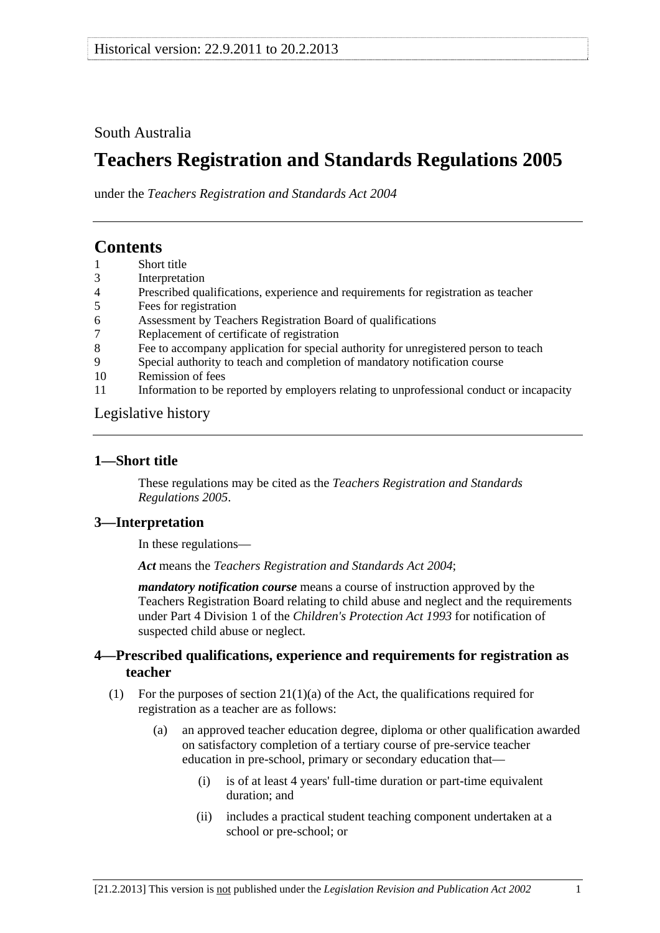## <span id="page-0-0"></span>South Australia

# **Teachers Registration and Standards Regulations 2005**

under the *Teachers Registration and Standards Act 2004*

## **Contents**

- [1 Short title](#page-0-0)
- [3 Interpretation](#page-0-0)
- [4 Prescribed qualifications, experience and requirements for registration as teacher](#page-0-0)
- [5 Fees for registration](#page-1-0)
- [6 Assessment by Teachers Registration Board of qualifications](#page-2-0)
- [7 Replacement of certificate of registration](#page-2-0)
- [8 Fee to accompany application for special authority for unregistered person to teach](#page-2-0)
- [9 Special authority to teach and completion of mandatory notification course](#page-2-0)
- [10 Remission of fees](#page-3-0)
- [11 Information to be reported by employers relating to unprofessional conduct or incapacity](#page-3-0)

#### [Legislative history](#page-4-0)

#### **1—Short title**

These regulations may be cited as the *Teachers Registration and Standards Regulations 2005*.

#### **3—Interpretation**

In these regulations—

*Act* means the *[Teachers Registration and Standards Act 2004](http://www.legislation.sa.gov.au/index.aspx?action=legref&type=act&legtitle=Teachers%20Registration%20and%20Standards%20Act%202004)*;

*mandatory notification course* means a course of instruction approved by the Teachers Registration Board relating to child abuse and neglect and the requirements under Part 4 Division 1 of the *[Children's Protection Act 1993](http://www.legislation.sa.gov.au/index.aspx?action=legref&type=act&legtitle=Childrens%20Protection%20Act%201993)* for notification of suspected child abuse or neglect.

#### **4—Prescribed qualifications, experience and requirements for registration as teacher**

- (1) For the purposes of section  $21(1)(a)$  of the Act, the qualifications required for registration as a teacher are as follows:
	- (a) an approved teacher education degree, diploma or other qualification awarded on satisfactory completion of a tertiary course of pre-service teacher education in pre-school, primary or secondary education that—
		- (i) is of at least 4 years' full-time duration or part-time equivalent duration; and
		- (ii) includes a practical student teaching component undertaken at a school or pre-school; or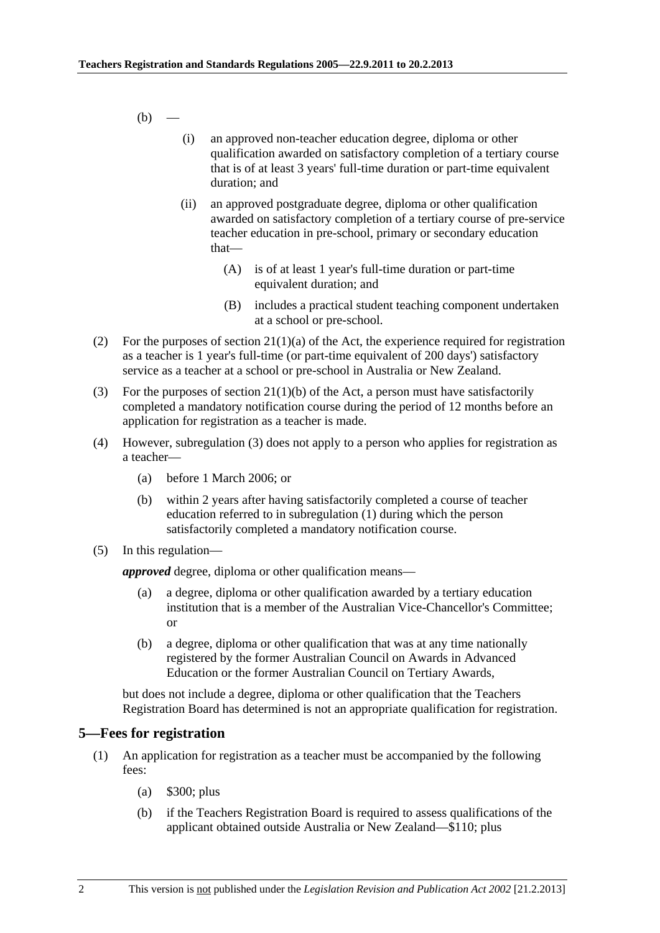<span id="page-1-0"></span> $(b)$  —

- (i) an approved non-teacher education degree, diploma or other qualification awarded on satisfactory completion of a tertiary course that is of at least 3 years' full-time duration or part-time equivalent duration; and
- (ii) an approved postgraduate degree, diploma or other qualification awarded on satisfactory completion of a tertiary course of pre-service teacher education in pre-school, primary or secondary education that—
	- (A) is of at least 1 year's full-time duration or part-time equivalent duration; and
	- (B) includes a practical student teaching component undertaken at a school or pre-school.
- (2) For the purposes of section  $21(1)(a)$  of the Act, the experience required for registration as a teacher is 1 year's full-time (or part-time equivalent of 200 days') satisfactory service as a teacher at a school or pre-school in Australia or New Zealand.
- (3) For the purposes of section  $21(1)(b)$  of the Act, a person must have satisfactorily completed a mandatory notification course during the period of 12 months before an application for registration as a teacher is made.
- (4) However, [subregulation \(3\)](#page-1-0) does not apply to a person who applies for registration as a teacher—
	- (a) before 1 March 2006; or
	- (b) within 2 years after having satisfactorily completed a course of teacher education referred to in [subregulation \(1\)](#page-0-0) during which the person satisfactorily completed a mandatory notification course.
- (5) In this regulation—

*approved* degree, diploma or other qualification means—

- (a) a degree, diploma or other qualification awarded by a tertiary education institution that is a member of the Australian Vice-Chancellor's Committee; or
- (b) a degree, diploma or other qualification that was at any time nationally registered by the former Australian Council on Awards in Advanced Education or the former Australian Council on Tertiary Awards,

but does not include a degree, diploma or other qualification that the Teachers Registration Board has determined is not an appropriate qualification for registration.

#### **5—Fees for registration**

- (1) An application for registration as a teacher must be accompanied by the following fees:
	- (a) \$300; plus
	- (b) if the Teachers Registration Board is required to assess qualifications of the applicant obtained outside Australia or New Zealand—\$110; plus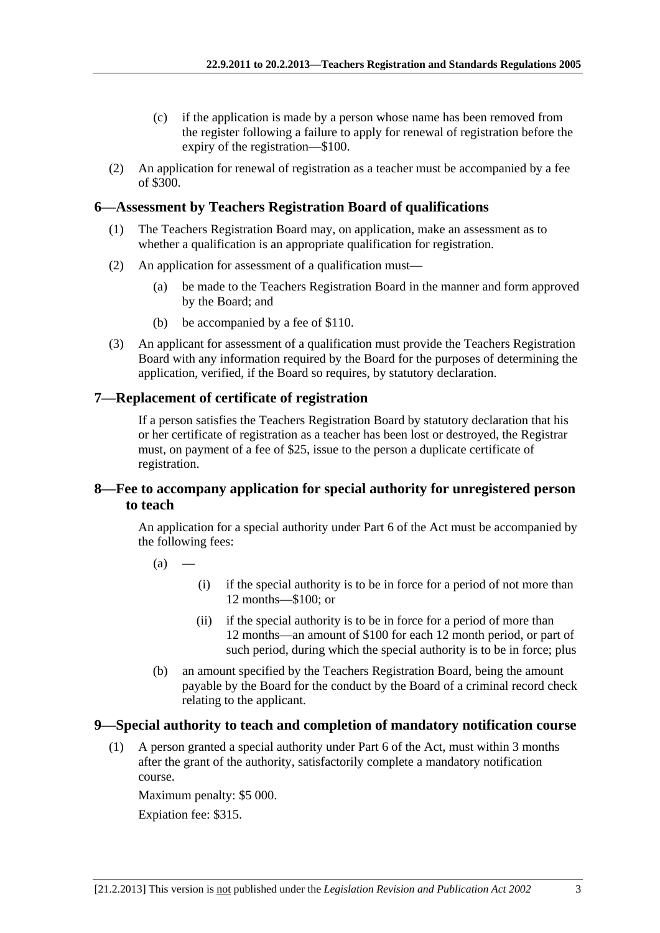- <span id="page-2-0"></span> (c) if the application is made by a person whose name has been removed from the register following a failure to apply for renewal of registration before the expiry of the registration—\$100.
- (2) An application for renewal of registration as a teacher must be accompanied by a fee of \$300.

## **6—Assessment by Teachers Registration Board of qualifications**

- (1) The Teachers Registration Board may, on application, make an assessment as to whether a qualification is an appropriate qualification for registration.
- (2) An application for assessment of a qualification must—
	- (a) be made to the Teachers Registration Board in the manner and form approved by the Board; and
	- (b) be accompanied by a fee of \$110.
- (3) An applicant for assessment of a qualification must provide the Teachers Registration Board with any information required by the Board for the purposes of determining the application, verified, if the Board so requires, by statutory declaration.

### **7—Replacement of certificate of registration**

If a person satisfies the Teachers Registration Board by statutory declaration that his or her certificate of registration as a teacher has been lost or destroyed, the Registrar must, on payment of a fee of \$25, issue to the person a duplicate certificate of registration.

### **8—Fee to accompany application for special authority for unregistered person to teach**

An application for a special authority under Part 6 of the Act must be accompanied by the following fees:

- $(a)$
- (i) if the special authority is to be in force for a period of not more than 12 months—\$100; or
- (ii) if the special authority is to be in force for a period of more than 12 months—an amount of \$100 for each 12 month period, or part of such period, during which the special authority is to be in force; plus
- (b) an amount specified by the Teachers Registration Board, being the amount payable by the Board for the conduct by the Board of a criminal record check relating to the applicant.

#### **9—Special authority to teach and completion of mandatory notification course**

 (1) A person granted a special authority under Part 6 of the Act, must within 3 months after the grant of the authority, satisfactorily complete a mandatory notification course.

Maximum penalty: \$5 000. Expiation fee: \$315.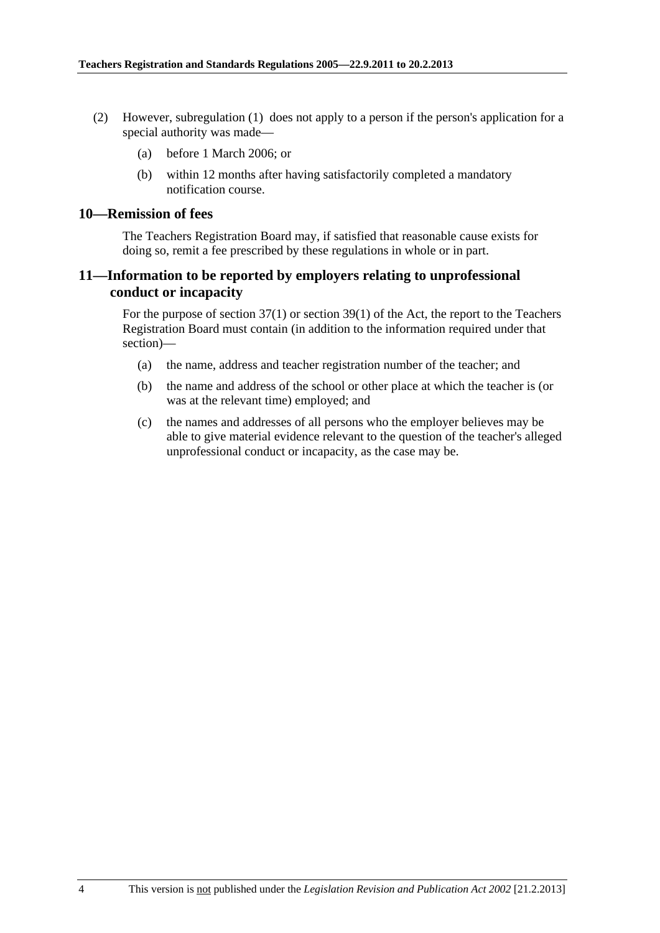- <span id="page-3-0"></span> (2) However, [subregulation \(1\)](#page-2-0) does not apply to a person if the person's application for a special authority was made—
	- (a) before 1 March 2006; or
	- (b) within 12 months after having satisfactorily completed a mandatory notification course.

#### **10—Remission of fees**

The Teachers Registration Board may, if satisfied that reasonable cause exists for doing so, remit a fee prescribed by these regulations in whole or in part.

#### **11—Information to be reported by employers relating to unprofessional conduct or incapacity**

For the purpose of section 37(1) or section 39(1) of the Act, the report to the Teachers Registration Board must contain (in addition to the information required under that section)—

- (a) the name, address and teacher registration number of the teacher; and
- (b) the name and address of the school or other place at which the teacher is (or was at the relevant time) employed; and
- (c) the names and addresses of all persons who the employer believes may be able to give material evidence relevant to the question of the teacher's alleged unprofessional conduct or incapacity, as the case may be.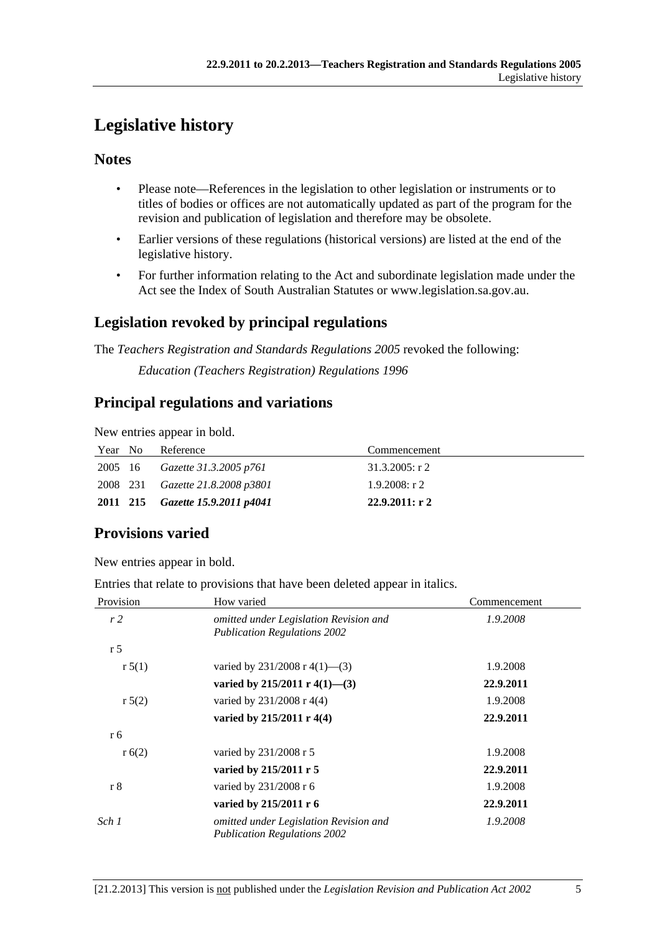# <span id="page-4-0"></span>**Legislative history**

## **Notes**

- Please note—References in the legislation to other legislation or instruments or to titles of bodies or offices are not automatically updated as part of the program for the revision and publication of legislation and therefore may be obsolete.
- Earlier versions of these regulations (historical versions) are listed at the end of the legislative history.
- For further information relating to the Act and subordinate legislation made under the Act see the Index of South Australian Statutes or www.legislation.sa.gov.au.

## **Legislation revoked by principal regulations**

The *Teachers Registration and Standards Regulations 2005* revoked the following:

*Education (Teachers Registration) Regulations 1996*

## **Principal regulations and variations**

New entries appear in bold.

| Year No | Reference                               | Commencement     |
|---------|-----------------------------------------|------------------|
|         | 2005 16 Gazette 31.3.2005 p761          | $31.3.2005:$ r 2 |
|         | 2008 231 <i>Gazette 21.8.2008 p3801</i> | $1.9.2008:$ r 2  |
|         | 2011 215 Gazette 15.9.2011 p4041        | 22.9.2011: r2    |

# **Provisions varied**

New entries appear in bold.

Entries that relate to provisions that have been deleted appear in italics.

| Provision      | How varied                                                                    | Commencement |
|----------------|-------------------------------------------------------------------------------|--------------|
| r2             | omitted under Legislation Revision and<br><b>Publication Regulations 2002</b> | 1.9.2008     |
| r <sub>5</sub> |                                                                               |              |
| r 5(1)         | varied by $231/2008$ r 4(1)–(3)                                               | 1.9.2008     |
|                | varied by 215/2011 r 4(1)–(3)                                                 | 22.9.2011    |
| r 5(2)         | varied by 231/2008 r 4(4)                                                     | 1.9.2008     |
|                | varied by $215/2011$ r 4(4)                                                   | 22.9.2011    |
| r 6            |                                                                               |              |
| r(6(2))        | varied by 231/2008 r 5                                                        | 1.9.2008     |
|                | varied by 215/2011 r 5                                                        | 22.9.2011    |
| r <sub>8</sub> | varied by 231/2008 r 6                                                        | 1.9.2008     |
|                | varied by 215/2011 r 6                                                        | 22.9.2011    |
| Sch 1          | omitted under Legislation Revision and<br><b>Publication Regulations 2002</b> | 1.9.2008     |